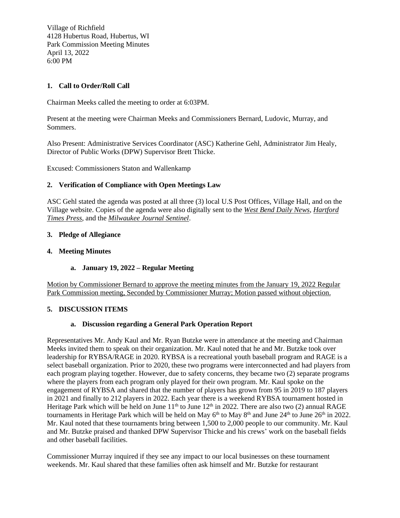Village of Richfield 4128 Hubertus Road, Hubertus, WI Park Commission Meeting Minutes April 13, 2022 6:00 PM

# **1. Call to Order/Roll Call**

Chairman Meeks called the meeting to order at 6:03PM.

Present at the meeting were Chairman Meeks and Commissioners Bernard, Ludovic, Murray, and Sommers.

Also Present: Administrative Services Coordinator (ASC) Katherine Gehl, Administrator Jim Healy, Director of Public Works (DPW) Supervisor Brett Thicke.

Excused: Commissioners Staton and Wallenkamp

### **2. Verification of Compliance with Open Meetings Law**

ASC Gehl stated the agenda was posted at all three (3) local U.S Post Offices, Village Hall, and on the Village website. Copies of the agenda were also digitally sent to the *West Bend Daily News*, *Hartford Times Press,* and the *Milwaukee Journal Sentinel*.

#### **3. Pledge of Allegiance**

#### **4. Meeting Minutes**

### **a. January 19, 2022 – Regular Meeting**

Motion by Commissioner Bernard to approve the meeting minutes from the January 19, 2022 Regular Park Commission meeting, Seconded by Commissioner Murray; Motion passed without objection.

### **5. DISCUSSION ITEMS**

### **a. Discussion regarding a General Park Operation Report**

Representatives Mr. Andy Kaul and Mr. Ryan Butzke were in attendance at the meeting and Chairman Meeks invited them to speak on their organization. Mr. Kaul noted that he and Mr. Butzke took over leadership for RYBSA/RAGE in 2020. RYBSA is a recreational youth baseball program and RAGE is a select baseball organization. Prior to 2020, these two programs were interconnected and had players from each program playing together. However, due to safety concerns, they became two (2) separate programs where the players from each program only played for their own program. Mr. Kaul spoke on the engagement of RYBSA and shared that the number of players has grown from 95 in 2019 to 187 players in 2021 and finally to 212 players in 2022. Each year there is a weekend RYBSA tournament hosted in Heritage Park which will be held on June  $11<sup>th</sup>$  to June  $12<sup>th</sup>$  in 2022. There are also two (2) annual RAGE tournaments in Heritage Park which will be held on May  $6<sup>th</sup>$  to May  $8<sup>th</sup>$  and June  $24<sup>th</sup>$  to June  $26<sup>th</sup>$  in 2022. Mr. Kaul noted that these tournaments bring between 1,500 to 2,000 people to our community. Mr. Kaul and Mr. Butzke praised and thanked DPW Supervisor Thicke and his crews' work on the baseball fields and other baseball facilities.

Commissioner Murray inquired if they see any impact to our local businesses on these tournament weekends. Mr. Kaul shared that these families often ask himself and Mr. Butzke for restaurant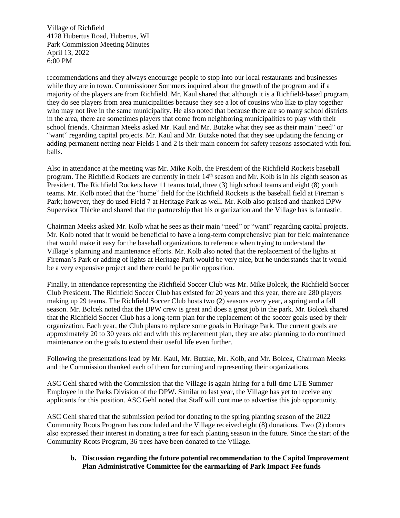Village of Richfield 4128 Hubertus Road, Hubertus, WI Park Commission Meeting Minutes April 13, 2022 6:00 PM

recommendations and they always encourage people to stop into our local restaurants and businesses while they are in town. Commissioner Sommers inquired about the growth of the program and if a majority of the players are from Richfield. Mr. Kaul shared that although it is a Richfield-based program, they do see players from area municipalities because they see a lot of cousins who like to play together who may not live in the same municipality. He also noted that because there are so many school districts in the area, there are sometimes players that come from neighboring municipalities to play with their school friends. Chairman Meeks asked Mr. Kaul and Mr. Butzke what they see as their main "need" or "want" regarding capital projects. Mr. Kaul and Mr. Butzke noted that they see updating the fencing or adding permanent netting near Fields 1 and 2 is their main concern for safety reasons associated with foul balls.

Also in attendance at the meeting was Mr. Mike Kolb, the President of the Richfield Rockets baseball program. The Richfield Rockets are currently in their 14th season and Mr. Kolb is in his eighth season as President. The Richfield Rockets have 11 teams total, three (3) high school teams and eight (8) youth teams. Mr. Kolb noted that the "home" field for the Richfield Rockets is the baseball field at Fireman's Park; however, they do used Field 7 at Heritage Park as well. Mr. Kolb also praised and thanked DPW Supervisor Thicke and shared that the partnership that his organization and the Village has is fantastic.

Chairman Meeks asked Mr. Kolb what he sees as their main "need" or "want" regarding capital projects. Mr. Kolb noted that it would be beneficial to have a long-term comprehensive plan for field maintenance that would make it easy for the baseball organizations to reference when trying to understand the Village's planning and maintenance efforts. Mr. Kolb also noted that the replacement of the lights at Fireman's Park or adding of lights at Heritage Park would be very nice, but he understands that it would be a very expensive project and there could be public opposition.

Finally, in attendance representing the Richfield Soccer Club was Mr. Mike Bolcek, the Richfield Soccer Club President. The Richfield Soccer Club has existed for 20 years and this year, there are 280 players making up 29 teams. The Richfield Soccer Club hosts two (2) seasons every year, a spring and a fall season. Mr. Bolcek noted that the DPW crew is great and does a great job in the park. Mr. Bolcek shared that the Richfield Soccer Club has a long-term plan for the replacement of the soccer goals used by their organization. Each year, the Club plans to replace some goals in Heritage Park. The current goals are approximately 20 to 30 years old and with this replacement plan, they are also planning to do continued maintenance on the goals to extend their useful life even further.

Following the presentations lead by Mr. Kaul, Mr. Butzke, Mr. Kolb, and Mr. Bolcek, Chairman Meeks and the Commission thanked each of them for coming and representing their organizations.

ASC Gehl shared with the Commission that the Village is again hiring for a full-time LTE Summer Employee in the Parks Division of the DPW. Similar to last year, the Village has yet to receive any applicants for this position. ASC Gehl noted that Staff will continue to advertise this job opportunity.

ASC Gehl shared that the submission period for donating to the spring planting season of the 2022 Community Roots Program has concluded and the Village received eight (8) donations. Two (2) donors also expressed their interest in donating a tree for each planting season in the future. Since the start of the Community Roots Program, 36 trees have been donated to the Village.

**b. Discussion regarding the future potential recommendation to the Capital Improvement Plan Administrative Committee for the earmarking of Park Impact Fee funds**